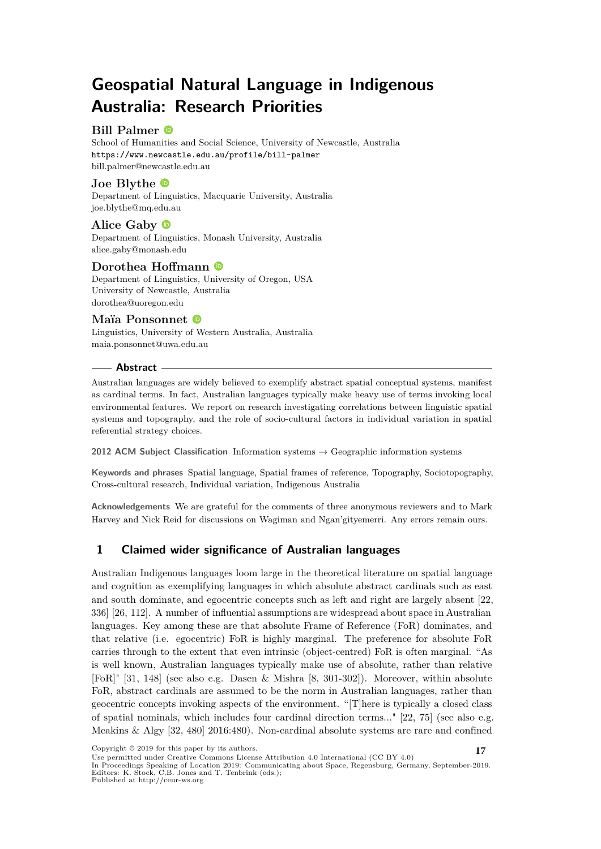# **Geospatial Natural Language in Indigenous Australia: Research Priorities**

## **Bill Palmer**

School of Humanities and Social Science, University of Newcastle, Australia <https://www.newcastle.edu.au/profile/bill-palmer> [bill.palmer@newcastle.edu.au](mailto:bill.palmer@newcastle.edu.au)

**Joe Blythe** Department of Linguistics, Macquarie University, Australia [joe.blythe@mq.edu.au](mailto:joe.blythe@mq.edu.au)

**Alice Gaby** Department of Linguistics, Monash University, Australia [alice.gaby@monash.edu](mailto:alice.gaby@monash.edu)

### **Dorothea Hoffmann**

Department of Linguistics, University of Oregon, USA University of Newcastle, Australia [dorothea@uoregon.edu](mailto:dorothea@uoregon.edu)

#### **Maïa Ponsonnet**

Linguistics, University of Western Australia, Australia [maia.ponsonnet@uwa.edu.au](mailto:maia.ponsonnet@uwa.edu.au)

#### **Abstract**

Australian languages are widely believed to exemplify abstract spatial conceptual systems, manifest as cardinal terms. In fact, Australian languages typically make heavy use of terms invoking local environmental features. We report on research investigating correlations between linguistic spatial systems and topography, and the role of socio-cultural factors in individual variation in spatial referential strategy choices.

**2012 ACM Subject Classification** Information systems → Geographic information systems

**Keywords and phrases** Spatial language, Spatial frames of reference, Topography, Sociotopography, Cross-cultural research, Individual variation, Indigenous Australia

**Acknowledgements** We are grateful for the comments of three anonymous reviewers and to Mark Harvey and Nick Reid for discussions on Wagiman and Ngan'gityemerri. Any errors remain ours.

# **1 Claimed wider significance of Australian languages**

Australian Indigenous languages loom large in the theoretical literature on spatial language and cognition as exemplifying languages in which absolute abstract cardinals such as east and south dominate, and egocentric concepts such as left and right are largely absent [\[22,](#page-8-0) 336] [\[26,](#page-9-0) 112]. A number of influential assumptions are widespread about space in Australian languages. Key among these are that absolute Frame of Reference (FoR) dominates, and that relative (i.e. egocentric) FoR is highly marginal. The preference for absolute FoR carries through to the extent that even intrinsic (object-centred) FoR is often marginal. "As is well known, Australian languages typically make use of absolute, rather than relative [FoR]" [\[31,](#page-9-1) 148] (see also e.g. Dasen & Mishra [\[8,](#page-8-1) 301-302]). Moreover, within absolute FoR, abstract cardinals are assumed to be the norm in Australian languages, rather than geocentric concepts invoking aspects of the environment. "[T]here is typically a closed class of spatial nominals, which includes four cardinal direction terms..." [\[22,](#page-8-0) 75] (see also e.g. Meakins & Algy [\[32,](#page-9-2) 480] 2016:480). Non-cardinal absolute systems are rare and confined

Copyright © <sup>2019</sup> for this paper by its authors. **17** Use permitted under Creative Commons License Attribution 4.0 International (CC BY 4.0)

In Proceedings Speaking of Location 2019: Communicating about Space, Regensburg, Germany, September-2019. Editors: K. Stock, C.B. Jones and T. Tenbrink (eds.);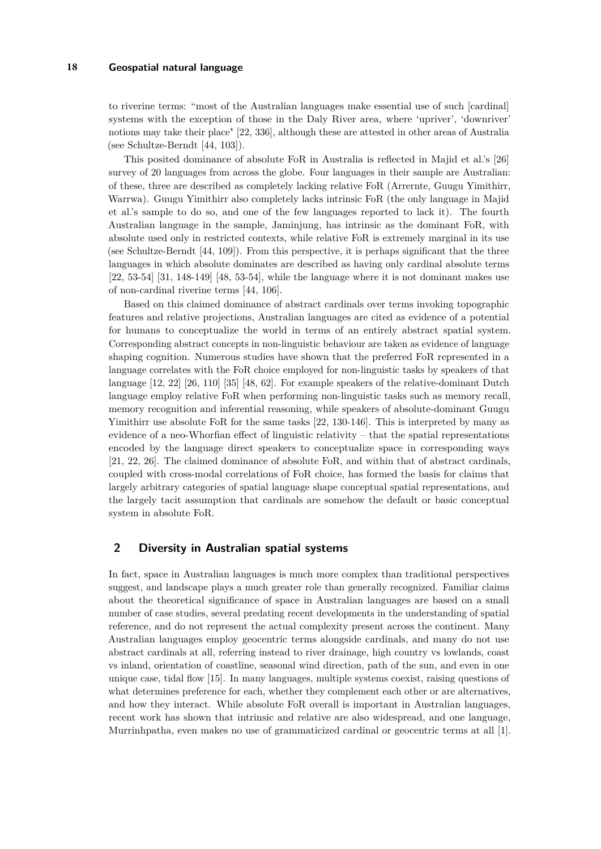to riverine terms: "most of the Australian languages make essential use of such [cardinal] systems with the exception of those in the Daly River area, where 'upriver', 'downriver' notions may take their place" [\[22,](#page-8-0) 336], although these are attested in other areas of Australia (see Schultze-Berndt [\[44,](#page-9-3) 103]).

This posited dominance of absolute FoR in Australia is reflected in Majid et al.'s [\[26\]](#page-9-0) survey of 20 languages from across the globe. Four languages in their sample are Australian: of these, three are described as completely lacking relative FoR (Arrernte, Guugu Yimithirr, Warrwa). Guugu Yimithirr also completely lacks intrinsic FoR (the only language in Majid et al.'s sample to do so, and one of the few languages reported to lack it). The fourth Australian language in the sample, Jaminjung, has intrinsic as the dominant FoR, with absolute used only in restricted contexts, while relative FoR is extremely marginal in its use (see Schultze-Berndt [\[44,](#page-9-3) 109]). From this perspective, it is perhaps significant that the three languages in which absolute dominates are described as having only cardinal absolute terms  $[22, 53-54]$  $[22, 53-54]$   $[31, 148-149]$  $[31, 148-149]$   $[48, 53-54]$  $[48, 53-54]$ , while the language where it is not dominant makes use of non-cardinal riverine terms [\[44,](#page-9-3) 106].

Based on this claimed dominance of abstract cardinals over terms invoking topographic features and relative projections, Australian languages are cited as evidence of a potential for humans to conceptualize the world in terms of an entirely abstract spatial system. Corresponding abstract concepts in non-linguistic behaviour are taken as evidence of language shaping cognition. Numerous studies have shown that the preferred FoR represented in a language correlates with the FoR choice employed for non-linguistic tasks by speakers of that language [\[12,](#page-8-2) [22\]](#page-8-0) [\[26,](#page-9-0) 110] [\[35\]](#page-9-4) [\[48,](#page-10-0) 62]. For example speakers of the relative-dominant Dutch language employ relative FoR when performing non-linguistic tasks such as memory recall, memory recognition and inferential reasoning, while speakers of absolute-dominant Guugu Yimithirr use absolute FoR for the same tasks [\[22,](#page-8-0) 130-146]. This is interpreted by many as evidence of a neo-Whorfian effect of linguistic relativity – that the spatial representations encoded by the language direct speakers to conceptualize space in corresponding ways [\[21,](#page-8-3) [22,](#page-8-0) [26\]](#page-9-0). The claimed dominance of absolute FoR, and within that of abstract cardinals, coupled with cross-modal correlations of FoR choice, has formed the basis for claims that largely arbitrary categories of spatial language shape conceptual spatial representations, and the largely tacit assumption that cardinals are somehow the default or basic conceptual system in absolute FoR.

# **2 Diversity in Australian spatial systems**

In fact, space in Australian languages is much more complex than traditional perspectives suggest, and landscape plays a much greater role than generally recognized. Familiar claims about the theoretical significance of space in Australian languages are based on a small number of case studies, several predating recent developments in the understanding of spatial reference, and do not represent the actual complexity present across the continent. Many Australian languages employ geocentric terms alongside cardinals, and many do not use abstract cardinals at all, referring instead to river drainage, high country vs lowlands, coast vs inland, orientation of coastline, seasonal wind direction, path of the sun, and even in one unique case, tidal flow [\[15\]](#page-8-4). In many languages, multiple systems coexist, raising questions of what determines preference for each, whether they complement each other or are alternatives, and how they interact. While absolute FoR overall is important in Australian languages, recent work has shown that intrinsic and relative are also widespread, and one language, Murrinhpatha, even makes no use of grammaticized cardinal or geocentric terms at all [\[1\]](#page-7-0).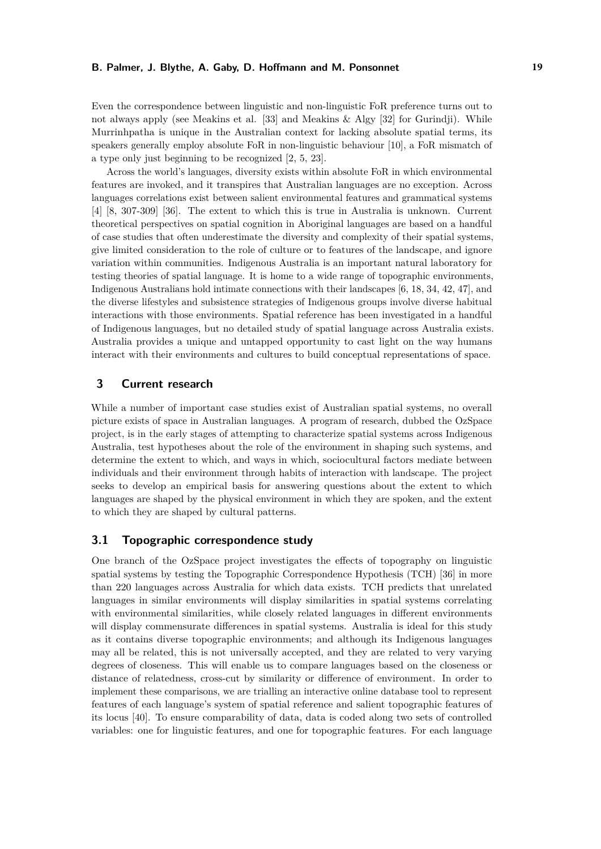Even the correspondence between linguistic and non-linguistic FoR preference turns out to not always apply (see Meakins et al. [\[33\]](#page-9-5) and Meakins & Algy [\[32\]](#page-9-2) for Gurindji). While Murrinhpatha is unique in the Australian context for lacking absolute spatial terms, its speakers generally employ absolute FoR in non-linguistic behaviour [\[10\]](#page-8-5), a FoR mismatch of a type only just beginning to be recognized [\[2,](#page-7-1) [5,](#page-8-6) [23\]](#page-8-7).

Across the world's languages, diversity exists within absolute FoR in which environmental features are invoked, and it transpires that Australian languages are no exception. Across languages correlations exist between salient environmental features and grammatical systems [\[4\]](#page-7-2) [\[8,](#page-8-1) 307-309] [\[36\]](#page-9-6). The extent to which this is true in Australia is unknown. Current theoretical perspectives on spatial cognition in Aboriginal languages are based on a handful of case studies that often underestimate the diversity and complexity of their spatial systems, give limited consideration to the role of culture or to features of the landscape, and ignore variation within communities. Indigenous Australia is an important natural laboratory for testing theories of spatial language. It is home to a wide range of topographic environments, Indigenous Australians hold intimate connections with their landscapes [\[6,](#page-8-8) [18,](#page-8-9) [34,](#page-9-7) [42,](#page-9-8) [47\]](#page-10-1), and the diverse lifestyles and subsistence strategies of Indigenous groups involve diverse habitual interactions with those environments. Spatial reference has been investigated in a handful of Indigenous languages, but no detailed study of spatial language across Australia exists. Australia provides a unique and untapped opportunity to cast light on the way humans interact with their environments and cultures to build conceptual representations of space.

# **3 Current research**

While a number of important case studies exist of Australian spatial systems, no overall picture exists of space in Australian languages. A program of research, dubbed the OzSpace project, is in the early stages of attempting to characterize spatial systems across Indigenous Australia, test hypotheses about the role of the environment in shaping such systems, and determine the extent to which, and ways in which, sociocultural factors mediate between individuals and their environment through habits of interaction with landscape. The project seeks to develop an empirical basis for answering questions about the extent to which languages are shaped by the physical environment in which they are spoken, and the extent to which they are shaped by cultural patterns.

#### **3.1 Topographic correspondence study**

One branch of the OzSpace project investigates the effects of topography on linguistic spatial systems by testing the Topographic Correspondence Hypothesis (TCH) [\[36\]](#page-9-6) in more than 220 languages across Australia for which data exists. TCH predicts that unrelated languages in similar environments will display similarities in spatial systems correlating with environmental similarities, while closely related languages in different environments will display commensurate differences in spatial systems. Australia is ideal for this study as it contains diverse topographic environments; and although its Indigenous languages may all be related, this is not universally accepted, and they are related to very varying degrees of closeness. This will enable us to compare languages based on the closeness or distance of relatedness, cross-cut by similarity or difference of environment. In order to implement these comparisons, we are trialling an interactive online database tool to represent features of each language's system of spatial reference and salient topographic features of its locus [\[40\]](#page-9-9). To ensure comparability of data, data is coded along two sets of controlled variables: one for linguistic features, and one for topographic features. For each language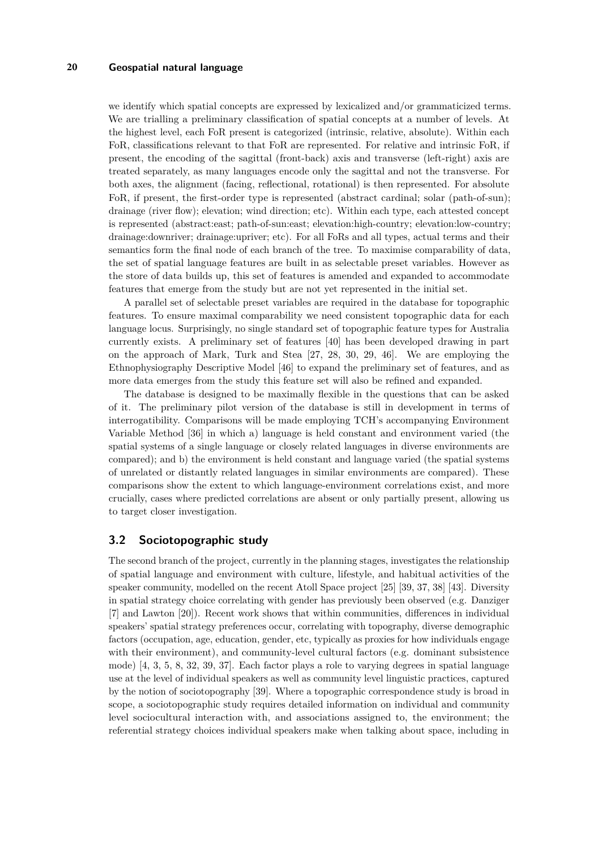#### **20 Geospatial natural language**

we identify which spatial concepts are expressed by lexicalized and/or grammaticized terms. We are trialling a preliminary classification of spatial concepts at a number of levels. At the highest level, each FoR present is categorized (intrinsic, relative, absolute). Within each FoR, classifications relevant to that FoR are represented. For relative and intrinsic FoR, if present, the encoding of the sagittal (front-back) axis and transverse (left-right) axis are treated separately, as many languages encode only the sagittal and not the transverse. For both axes, the alignment (facing, reflectional, rotational) is then represented. For absolute FoR, if present, the first-order type is represented (abstract cardinal; solar (path-of-sun); drainage (river flow); elevation; wind direction; etc). Within each type, each attested concept is represented (abstract:east; path-of-sun:east; elevation:high-country; elevation:low-country; drainage:downriver; drainage:upriver; etc). For all FoRs and all types, actual terms and their semantics form the final node of each branch of the tree. To maximise comparability of data, the set of spatial language features are built in as selectable preset variables. However as the store of data builds up, this set of features is amended and expanded to accommodate features that emerge from the study but are not yet represented in the initial set.

A parallel set of selectable preset variables are required in the database for topographic features. To ensure maximal comparability we need consistent topographic data for each language locus. Surprisingly, no single standard set of topographic feature types for Australia currently exists. A preliminary set of features [\[40\]](#page-9-9) has been developed drawing in part on the approach of Mark, Turk and Stea [\[27,](#page-9-10) [28,](#page-9-11) [30,](#page-9-12) [29,](#page-9-13) [46\]](#page-10-2). We are employing the Ethnophysiography Descriptive Model [\[46\]](#page-10-2) to expand the preliminary set of features, and as more data emerges from the study this feature set will also be refined and expanded.

The database is designed to be maximally flexible in the questions that can be asked of it. The preliminary pilot version of the database is still in development in terms of interrogatibility. Comparisons will be made employing TCH's accompanying Environment Variable Method [\[36\]](#page-9-6) in which a) language is held constant and environment varied (the spatial systems of a single language or closely related languages in diverse environments are compared); and b) the environment is held constant and language varied (the spatial systems of unrelated or distantly related languages in similar environments are compared). These comparisons show the extent to which language-environment correlations exist, and more crucially, cases where predicted correlations are absent or only partially present, allowing us to target closer investigation.

#### **3.2 Sociotopographic study**

The second branch of the project, currently in the planning stages, investigates the relationship of spatial language and environment with culture, lifestyle, and habitual activities of the speaker community, modelled on the recent Atoll Space project [\[25\]](#page-8-10) [\[39,](#page-9-14) [37,](#page-9-15) [38\]](#page-9-16) [\[43\]](#page-9-17). Diversity in spatial strategy choice correlating with gender has previously been observed (e.g. Danziger [\[7\]](#page-8-11) and Lawton [\[20\]](#page-8-12)). Recent work shows that within communities, differences in individual speakers' spatial strategy preferences occur, correlating with topography, diverse demographic factors (occupation, age, education, gender, etc, typically as proxies for how individuals engage with their environment), and community-level cultural factors (e.g. dominant subsistence mode) [\[4,](#page-7-2) [3,](#page-7-3) [5,](#page-8-6) [8,](#page-8-1) [32,](#page-9-2) [39,](#page-9-14) [37\]](#page-9-15). Each factor plays a role to varying degrees in spatial language use at the level of individual speakers as well as community level linguistic practices, captured by the notion of sociotopography [\[39\]](#page-9-14). Where a topographic correspondence study is broad in scope, a sociotopographic study requires detailed information on individual and community level sociocultural interaction with, and associations assigned to, the environment; the referential strategy choices individual speakers make when talking about space, including in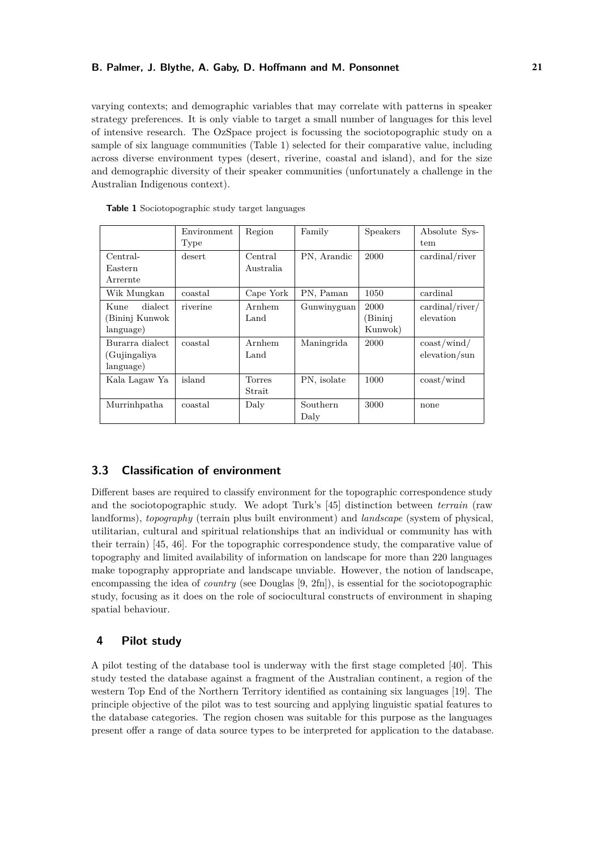varying contexts; and demographic variables that may correlate with patterns in speaker strategy preferences. It is only viable to target a small number of languages for this level of intensive research. The OzSpace project is focussing the sociotopographic study on a sample of six language communities (Table [1\)](#page-4-0) selected for their comparative value, including across diverse environment types (desert, riverine, coastal and island), and for the size and demographic diversity of their speaker communities (unfortunately a challenge in the Australian Indigenous context).

|                                                                  | Environment<br>Type | Region                   | Family                    | Speakers                           | Absolute Sys-<br>tem                                     |
|------------------------------------------------------------------|---------------------|--------------------------|---------------------------|------------------------------------|----------------------------------------------------------|
| $Central-$<br>Eastern<br>Arrernte                                | desert              | Central<br>Australia     | PN, Arandic               | 2000                               | cardinal/river                                           |
| Wik Mungkan                                                      | coastal             | Cape York                | PN, Paman                 | 1050                               | cardinal                                                 |
| dialect<br>Kune<br>Bininj Kunwok<br>language)<br>Burarra dialect | riverine<br>coastal | Arnhem<br>Land<br>Arnhem | Gunwinyguan<br>Maningrida | 2000<br>(Bininj<br>Kunwok)<br>2000 | cardinal/river/<br>elevation<br>$\cos t / \text{wind} /$ |
| (Gujingaliya<br>language)                                        |                     | Land                     |                           |                                    | $e$ levation/sun                                         |
| Kala Lagaw Ya                                                    | island              | <b>Torres</b><br>Strait  | PN, isolate               | 1000                               | $\cos t$ /wind                                           |
| Murrinhpatha                                                     | coastal             | Daly                     | Southern<br>Daly          | 3000                               | none                                                     |

<span id="page-4-0"></span>**Table 1** Sociotopographic study target languages

# **3.3 Classification of environment**

Different bases are required to classify environment for the topographic correspondence study and the sociotopographic study. We adopt Turk's [\[45\]](#page-10-3) distinction between *terrain* (raw landforms), *topography* (terrain plus built environment) and *landscape* (system of physical, utilitarian, cultural and spiritual relationships that an individual or community has with their terrain) [\[45,](#page-10-3) [46\]](#page-10-2). For the topographic correspondence study, the comparative value of topography and limited availability of information on landscape for more than 220 languages make topography appropriate and landscape unviable. However, the notion of landscape, encompassing the idea of *country* (see Douglas [\[9,](#page-8-13) 2fn]), is essential for the sociotopographic study, focusing as it does on the role of sociocultural constructs of environment in shaping spatial behaviour.

# **4 Pilot study**

A pilot testing of the database tool is underway with the first stage completed [\[40\]](#page-9-9). This study tested the database against a fragment of the Australian continent, a region of the western Top End of the Northern Territory identified as containing six languages [\[19\]](#page-8-14). The principle objective of the pilot was to test sourcing and applying linguistic spatial features to the database categories. The region chosen was suitable for this purpose as the languages present offer a range of data source types to be interpreted for application to the database.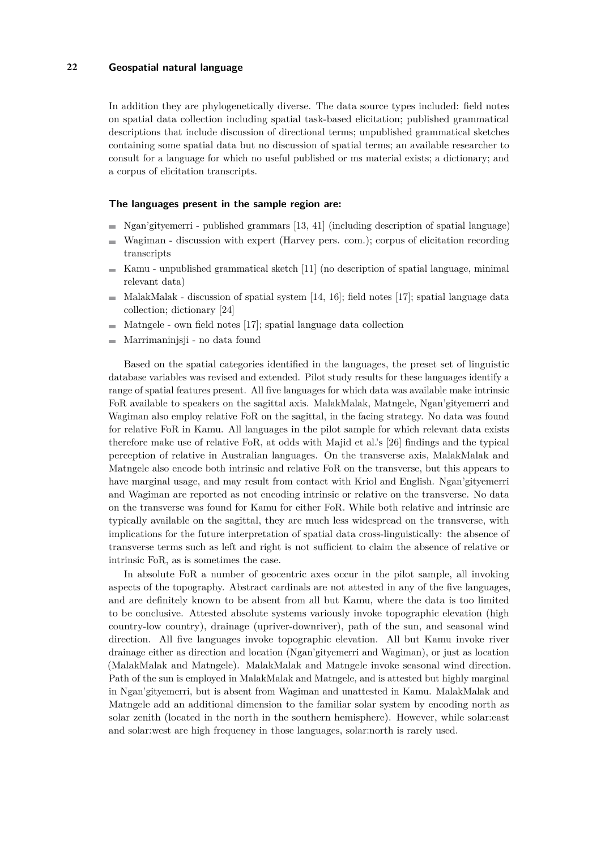#### **22 Geospatial natural language**

In addition they are phylogenetically diverse. The data source types included: field notes on spatial data collection including spatial task-based elicitation; published grammatical descriptions that include discussion of directional terms; unpublished grammatical sketches containing some spatial data but no discussion of spatial terms; an available researcher to consult for a language for which no useful published or ms material exists; a dictionary; and a corpus of elicitation transcripts.

#### **The languages present in the sample region are:**

- $\blacksquare$  Ngan'gityemerri published grammars [\[13,](#page-8-15) [41\]](#page-9-18) (including description of spatial language)
- Wagiman discussion with expert (Harvey pers. com.); corpus of elicitation recording ÷. transcripts
- $\blacksquare$  Kamu unpublished grammatical sketch [\[11\]](#page-8-16) (no description of spatial language, minimal relevant data)
- $\blacksquare$  MalakMalak discussion of spatial system [\[14,](#page-8-17) [16\]](#page-8-18); field notes [\[17\]](#page-8-19); spatial language data collection; dictionary [\[24\]](#page-8-20)
- $\blacksquare$  Matngele own field notes [\[17\]](#page-8-19); spatial language data collection
- Marrimaninjsji no data found  $\equiv$

Based on the spatial categories identified in the languages, the preset set of linguistic database variables was revised and extended. Pilot study results for these languages identify a range of spatial features present. All five languages for which data was available make intrinsic FoR available to speakers on the sagittal axis. MalakMalak, Matngele, Ngan'gityemerri and Wagiman also employ relative FoR on the sagittal, in the facing strategy. No data was found for relative FoR in Kamu. All languages in the pilot sample for which relevant data exists therefore make use of relative FoR, at odds with Majid et al.'s [\[26\]](#page-9-0) findings and the typical perception of relative in Australian languages. On the transverse axis, MalakMalak and Matngele also encode both intrinsic and relative FoR on the transverse, but this appears to have marginal usage, and may result from contact with Kriol and English. Ngan'gityemerri and Wagiman are reported as not encoding intrinsic or relative on the transverse. No data on the transverse was found for Kamu for either FoR. While both relative and intrinsic are typically available on the sagittal, they are much less widespread on the transverse, with implications for the future interpretation of spatial data cross-linguistically: the absence of transverse terms such as left and right is not sufficient to claim the absence of relative or intrinsic FoR, as is sometimes the case.

In absolute FoR a number of geocentric axes occur in the pilot sample, all invoking aspects of the topography. Abstract cardinals are not attested in any of the five languages, and are definitely known to be absent from all but Kamu, where the data is too limited to be conclusive. Attested absolute systems variously invoke topographic elevation (high country-low country), drainage (upriver-downriver), path of the sun, and seasonal wind direction. All five languages invoke topographic elevation. All but Kamu invoke river drainage either as direction and location (Ngan'gityemerri and Wagiman), or just as location (MalakMalak and Matngele). MalakMalak and Matngele invoke seasonal wind direction. Path of the sun is employed in MalakMalak and Matngele, and is attested but highly marginal in Ngan'gityemerri, but is absent from Wagiman and unattested in Kamu. MalakMalak and Matngele add an additional dimension to the familiar solar system by encoding north as solar zenith (located in the north in the southern hemisphere). However, while solar:east and solar:west are high frequency in those languages, solar:north is rarely used.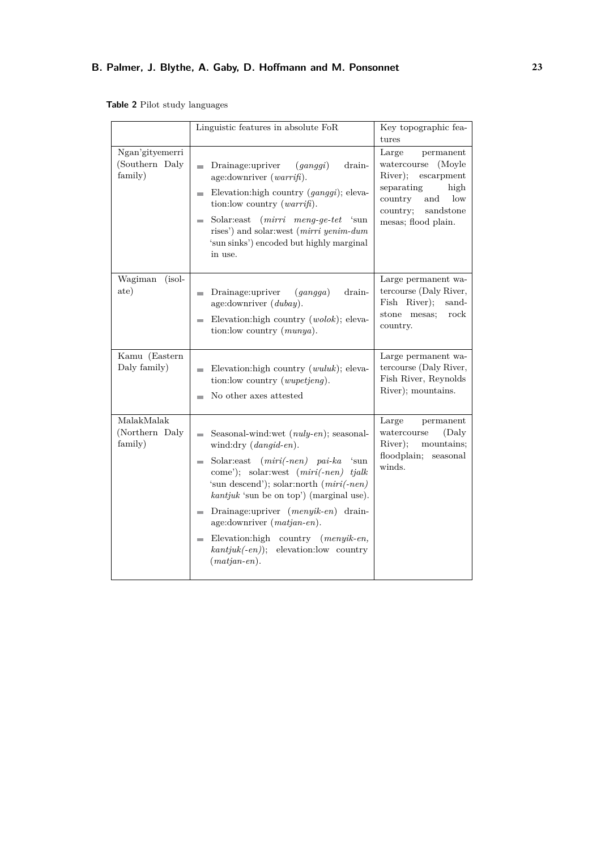<span id="page-6-0"></span>**Table 2** Pilot study languages

|                                              | Linguistic features in absolute FoR                                                                                                                                                                                                                                                                                                                                                                                                                                                        | Key topographic fea-<br>tures                                                                                                                                                    |
|----------------------------------------------|--------------------------------------------------------------------------------------------------------------------------------------------------------------------------------------------------------------------------------------------------------------------------------------------------------------------------------------------------------------------------------------------------------------------------------------------------------------------------------------------|----------------------------------------------------------------------------------------------------------------------------------------------------------------------------------|
| Ngan'gityemerri<br>(Southern Daly<br>family) | Drainage:upriver<br>$\left($ <i>qanqqi</i> )<br>drain-<br>m.<br>age: downriver $(warrifi)$ .<br>Elevation: high country ( <i>ganggi</i> ); eleva-<br><b>COL</b><br>tion: low country $(warrif)$ .<br>$(mirri \nmap{\text{neg-}get t}$ 'sun<br>Solar:east<br>m.<br>rises') and solar:west (mirri yenim-dum<br>'sun sinks') encoded but highly marginal<br>in use.                                                                                                                           | Large<br>permanent<br>watercourse<br>(Moyle)<br>River);<br>escarpment<br>separating<br>high<br>country<br>$_{\text{low}}$<br>and<br>sandstone<br>country;<br>mesas; flood plain. |
| $(isol-$<br>Wagiman<br>ate)                  | Drainage:upriver<br>drain-<br>$\left( \frac{qanqqa}{q}\right)$<br>$\overline{\phantom{a}}$<br>age:downriver $(dubay)$ .<br>Elevation: high country $(wolok)$ ; eleva-<br>m.<br>tion: low country (munya).                                                                                                                                                                                                                                                                                  | Large permanent wa-<br>tercourse (Daly River,<br>Fish River);<br>sand-<br>stone mesas;<br>rock<br>country.                                                                       |
| Kamu (Eastern<br>Daly family)                | Elevation: high country $(wuluk)$ ; eleva-<br>m.<br>tion: low country ( <i>wupetjeng</i> ).<br>No other axes attested                                                                                                                                                                                                                                                                                                                                                                      | Large permanent wa-<br>tercourse (Daly River,<br>Fish River, Reynolds<br>River); mountains.                                                                                      |
| MalakMalak<br>(Northern Daly<br>family)      | Seasonal-wind:wet $(nuly-en);$ seasonal-<br>m.<br>wind:dry (dangid-en).<br>Solar: east $(miri(\text{-}nen)$ pai-ka 'sun<br><b>COL</b><br>come'); solar:west $(miri(\text{-}nen)$ tjalk<br>'sun descend'); solar:north (miri(-nen)<br>$kantjuk$ 'sun be on top') (marginal use).<br>Drainage:upriver (menyik-en) drain-<br><b>COL</b><br>age:downriver (matjan-en).<br>Elevation: high country (menyik-en,<br><b>College</b><br>$kantjuk(-en)$ ;<br>elevation:low country<br>$(matjan-en).$ | Large<br>permanent<br>watercourse<br>(Daly<br>River);<br>mountains;<br>floodplain;<br>$\rm{seasonal}$<br>winds.                                                                  |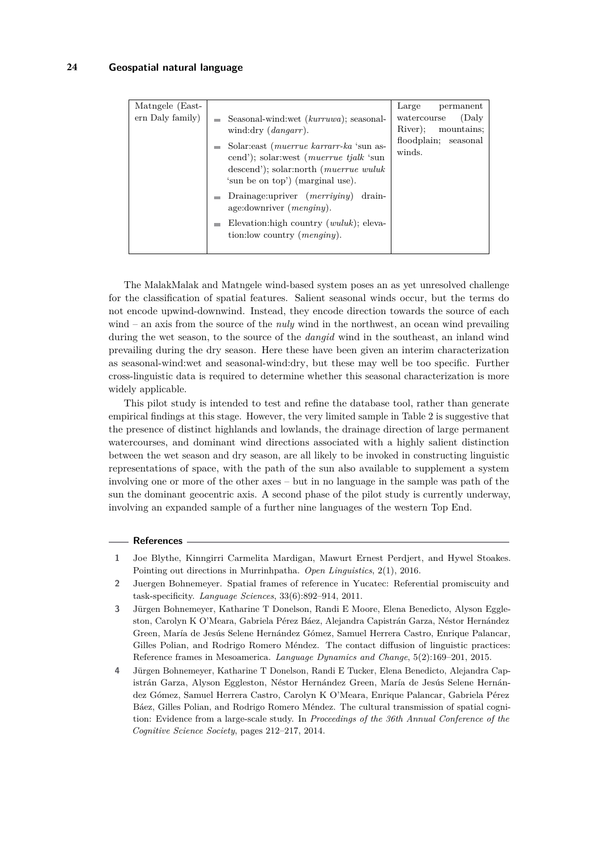| Matngele (East-<br>ern Daly family) | Seasonal-wind:wet (kurruwa); seasonal-<br>wind:dry $(dangarr)$ .<br>Solar: east (muerrue karrarr-ka 'sun as-<br>cend'); solar:west (muerrue tjalk 'sun<br>descend'); solar:north (muerrue wuluk<br>'sun be on top') (marginal use). | Large<br>permanent<br>(Daly<br>watercourse<br>River:<br>mountains:<br>floodplain;<br>seasonal<br>winds. |
|-------------------------------------|-------------------------------------------------------------------------------------------------------------------------------------------------------------------------------------------------------------------------------------|---------------------------------------------------------------------------------------------------------|
|                                     | Drainage:upriver $(merriving)$<br>drain-<br>age: downriver $(menqiny)$ .<br>Elevation: high country $(wuluk)$ ; eleva-<br>tion: low country ( <i>menginy</i> ).                                                                     |                                                                                                         |
|                                     |                                                                                                                                                                                                                                     |                                                                                                         |

The MalakMalak and Matngele wind-based system poses an as yet unresolved challenge for the classification of spatial features. Salient seasonal winds occur, but the terms do not encode upwind-downwind. Instead, they encode direction towards the source of each wind – an axis from the source of the *nuly* wind in the northwest, an ocean wind prevailing during the wet season, to the source of the *dangid* wind in the southeast, an inland wind prevailing during the dry season. Here these have been given an interim characterization as seasonal-wind:wet and seasonal-wind:dry, but these may well be too specific. Further cross-linguistic data is required to determine whether this seasonal characterization is more widely applicable.

This pilot study is intended to test and refine the database tool, rather than generate empirical findings at this stage. However, the very limited sample in Table [2](#page-6-0) is suggestive that the presence of distinct highlands and lowlands, the drainage direction of large permanent watercourses, and dominant wind directions associated with a highly salient distinction between the wet season and dry season, are all likely to be invoked in constructing linguistic representations of space, with the path of the sun also available to supplement a system involving one or more of the other axes – but in no language in the sample was path of the sun the dominant geocentric axis. A second phase of the pilot study is currently underway, involving an expanded sample of a further nine languages of the western Top End.

#### **References**

- <span id="page-7-0"></span>**1** Joe Blythe, Kinngirri Carmelita Mardigan, Mawurt Ernest Perdjert, and Hywel Stoakes. Pointing out directions in Murrinhpatha. *Open Linguistics*, 2(1), 2016.
- <span id="page-7-1"></span>**2** Juergen Bohnemeyer. Spatial frames of reference in Yucatec: Referential promiscuity and task-specificity. *Language Sciences*, 33(6):892–914, 2011.
- <span id="page-7-3"></span>**3** Jürgen Bohnemeyer, Katharine T Donelson, Randi E Moore, Elena Benedicto, Alyson Eggleston, Carolyn K O'Meara, Gabriela Pérez Báez, Alejandra Capistrán Garza, Néstor Hernández Green, María de Jesús Selene Hernández Gómez, Samuel Herrera Castro, Enrique Palancar, Gilles Polian, and Rodrigo Romero Méndez. The contact diffusion of linguistic practices: Reference frames in Mesoamerica. *Language Dynamics and Change*, 5(2):169–201, 2015.
- <span id="page-7-2"></span>**4** Jürgen Bohnemeyer, Katharine T Donelson, Randi E Tucker, Elena Benedicto, Alejandra Capistrán Garza, Alyson Eggleston, Néstor Hernández Green, María de Jesús Selene Hernández Gómez, Samuel Herrera Castro, Carolyn K O'Meara, Enrique Palancar, Gabriela Pérez Báez, Gilles Polian, and Rodrigo Romero Méndez. The cultural transmission of spatial cognition: Evidence from a large-scale study. In *Proceedings of the 36th Annual Conference of the Cognitive Science Society*, pages 212–217, 2014.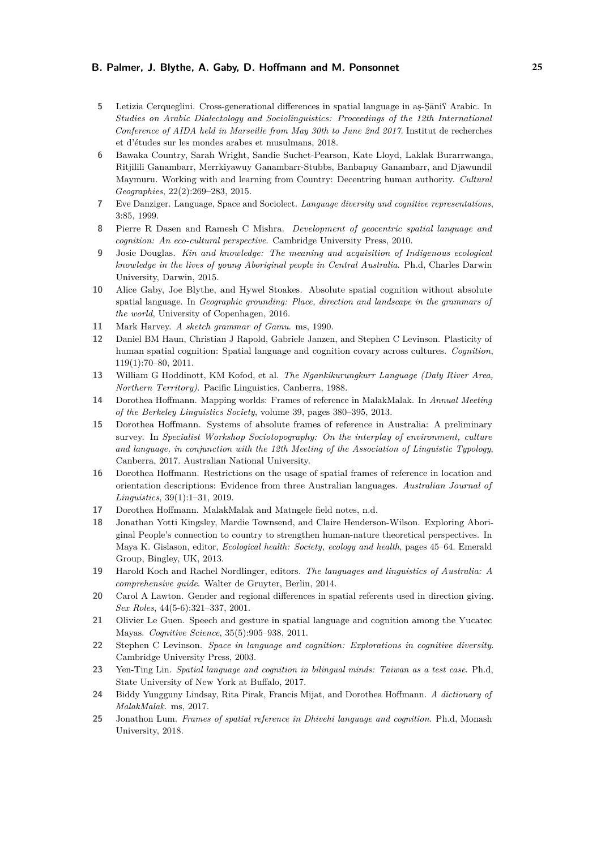- <span id="page-8-6"></span>5 Letizia Cerqueglini. Cross-generational differences in spatial language in as-Sānif Arabic. In *Studies on Arabic Dialectology and Sociolinguistics: Proceedings of the 12th International Conference of AIDA held in Marseille from May 30th to June 2nd 2017*. Institut de recherches et d'études sur les mondes arabes et musulmans, 2018.
- <span id="page-8-8"></span>**6** Bawaka Country, Sarah Wright, Sandie Suchet-Pearson, Kate Lloyd, Laklak Burarrwanga, Ritjilili Ganambarr, Merrkiyawuy Ganambarr-Stubbs, Banbapuy Ganambarr, and Djawundil Maymuru. Working with and learning from Country: Decentring human authority. *Cultural Geographies*, 22(2):269–283, 2015.
- <span id="page-8-11"></span>**7** Eve Danziger. Language, Space and Sociolect. *Language diversity and cognitive representations*, 3:85, 1999.
- <span id="page-8-1"></span>**8** Pierre R Dasen and Ramesh C Mishra. *Development of geocentric spatial language and cognition: An eco-cultural perspective*. Cambridge University Press, 2010.
- <span id="page-8-13"></span>**9** Josie Douglas. *Kin and knowledge: The meaning and acquisition of Indigenous ecological knowledge in the lives of young Aboriginal people in Central Australia*. Ph.d, Charles Darwin University, Darwin, 2015.
- <span id="page-8-5"></span>**10** Alice Gaby, Joe Blythe, and Hywel Stoakes. Absolute spatial cognition without absolute spatial language. In *Geographic grounding: Place, direction and landscape in the grammars of the world*, University of Copenhagen, 2016.
- <span id="page-8-16"></span>**11** Mark Harvey. *A sketch grammar of Gamu*. ms, 1990.
- <span id="page-8-2"></span>**12** Daniel BM Haun, Christian J Rapold, Gabriele Janzen, and Stephen C Levinson. Plasticity of human spatial cognition: Spatial language and cognition covary across cultures. *Cognition*, 119(1):70–80, 2011.
- <span id="page-8-15"></span>**13** William G Hoddinott, KM Kofod, et al. *The Ngankikurungkurr Language (Daly River Area, Northern Territory)*. Pacific Linguistics, Canberra, 1988.
- <span id="page-8-17"></span>**14** Dorothea Hoffmann. Mapping worlds: Frames of reference in MalakMalak. In *Annual Meeting of the Berkeley Linguistics Society*, volume 39, pages 380–395, 2013.
- <span id="page-8-4"></span>**15** Dorothea Hoffmann. Systems of absolute frames of reference in Australia: A preliminary survey. In *Specialist Workshop Sociotopography: On the interplay of environment, culture and language, in conjunction with the 12th Meeting of the Association of Linguistic Typology*, Canberra, 2017. Australian National University.
- <span id="page-8-18"></span>**16** Dorothea Hoffmann. Restrictions on the usage of spatial frames of reference in location and orientation descriptions: Evidence from three Australian languages. *Australian Journal of Linguistics*, 39(1):1–31, 2019.
- <span id="page-8-19"></span>**17** Dorothea Hoffmann. MalakMalak and Matngele field notes, n.d.
- <span id="page-8-9"></span>**18** Jonathan Yotti Kingsley, Mardie Townsend, and Claire Henderson-Wilson. Exploring Aboriginal People's connection to country to strengthen human-nature theoretical perspectives. In Maya K. Gislason, editor, *Ecological health: Society, ecology and health*, pages 45–64. Emerald Group, Bingley, UK, 2013.
- <span id="page-8-14"></span>**19** Harold Koch and Rachel Nordlinger, editors. *The languages and linguistics of Australia: A comprehensive guide*. Walter de Gruyter, Berlin, 2014.
- <span id="page-8-12"></span>**20** Carol A Lawton. Gender and regional differences in spatial referents used in direction giving. *Sex Roles*, 44(5-6):321–337, 2001.
- <span id="page-8-3"></span>**21** Olivier Le Guen. Speech and gesture in spatial language and cognition among the Yucatec Mayas. *Cognitive Science*, 35(5):905–938, 2011.
- <span id="page-8-0"></span>**22** Stephen C Levinson. *Space in language and cognition: Explorations in cognitive diversity*. Cambridge University Press, 2003.
- <span id="page-8-7"></span>**23** Yen-Ting Lin. *Spatial language and cognition in bilingual minds: Taiwan as a test case*. Ph.d, State University of New York at Buffalo, 2017.
- <span id="page-8-20"></span>**24** Biddy Yungguny Lindsay, Rita Pirak, Francis Mijat, and Dorothea Hoffmann. *A dictionary of MalakMalak*. ms, 2017.
- <span id="page-8-10"></span>**25** Jonathon Lum. *Frames of spatial reference in Dhivehi language and cognition*. Ph.d, Monash University, 2018.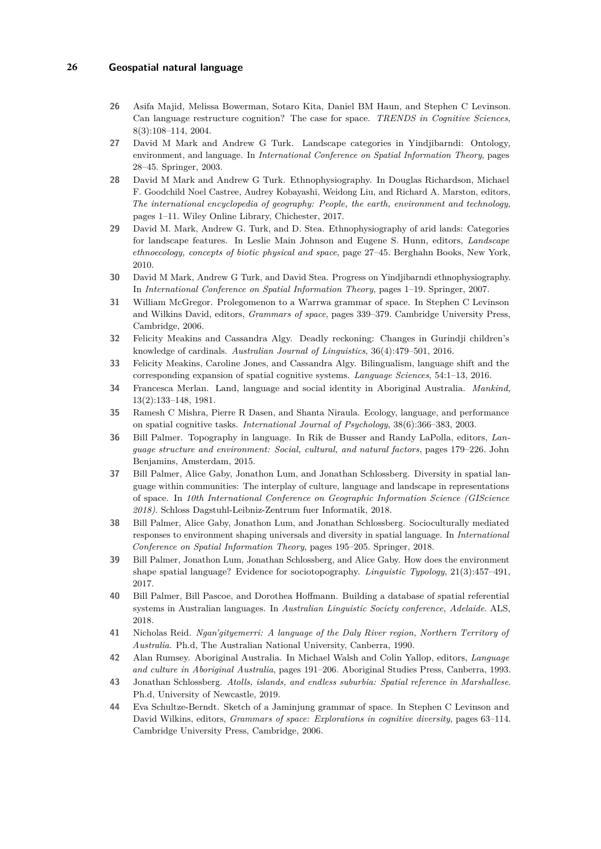#### **26 Geospatial natural language**

- <span id="page-9-0"></span>**26** Asifa Majid, Melissa Bowerman, Sotaro Kita, Daniel BM Haun, and Stephen C Levinson. Can language restructure cognition? The case for space. *TRENDS in Cognitive Sciences*, 8(3):108–114, 2004.
- <span id="page-9-10"></span>**27** David M Mark and Andrew G Turk. Landscape categories in Yindjibarndi: Ontology, environment, and language. In *International Conference on Spatial Information Theory*, pages 28–45. Springer, 2003.
- <span id="page-9-11"></span>**28** David M Mark and Andrew G Turk. Ethnophysiography. In Douglas Richardson, Michael F. Goodchild Noel Castree, Audrey Kobayashi, Weidong Liu, and Richard A. Marston, editors, *The international encyclopedia of geography: People, the earth, environment and technology*, pages 1–11. Wiley Online Library, Chichester, 2017.
- <span id="page-9-13"></span>**29** David M. Mark, Andrew G. Turk, and D. Stea. Ethnophysiography of arid lands: Categories for landscape features. In Leslie Main Johnson and Eugene S. Hunn, editors, *Landscape ethnoecology, concepts of biotic physical and space*, page 27–45. Berghahn Books, New York, 2010.
- <span id="page-9-12"></span>**30** David M Mark, Andrew G Turk, and David Stea. Progress on Yindjibarndi ethnophysiography. In *International Conference on Spatial Information Theory*, pages 1–19. Springer, 2007.
- <span id="page-9-1"></span>**31** William McGregor. Prolegomenon to a Warrwa grammar of space. In Stephen C Levinson and Wilkins David, editors, *Grammars of space*, pages 339–379. Cambridge University Press, Cambridge, 2006.
- <span id="page-9-2"></span>**32** Felicity Meakins and Cassandra Algy. Deadly reckoning: Changes in Gurindji children's knowledge of cardinals. *Australian Journal of Linguistics*, 36(4):479–501, 2016.
- <span id="page-9-5"></span>**33** Felicity Meakins, Caroline Jones, and Cassandra Algy. Bilingualism, language shift and the corresponding expansion of spatial cognitive systems. *Language Sciences*, 54:1–13, 2016.
- <span id="page-9-7"></span>**34** Francesca Merlan. Land, language and social identity in Aboriginal Australia. *Mankind*, 13(2):133–148, 1981.
- <span id="page-9-4"></span>**35** Ramesh C Mishra, Pierre R Dasen, and Shanta Niraula. Ecology, language, and performance on spatial cognitive tasks. *International Journal of Psychology*, 38(6):366–383, 2003.
- <span id="page-9-6"></span>**36** Bill Palmer. Topography in language. In Rik de Busser and Randy LaPolla, editors, *Language structure and environment: Social, cultural, and natural factors*, pages 179–226. John Benjamins, Amsterdam, 2015.
- <span id="page-9-15"></span>**37** Bill Palmer, Alice Gaby, Jonathon Lum, and Jonathan Schlossberg. Diversity in spatial language within communities: The interplay of culture, language and landscape in representations of space. In *10th International Conference on Geographic Information Science (GIScience 2018)*. Schloss Dagstuhl-Leibniz-Zentrum fuer Informatik, 2018.
- <span id="page-9-16"></span>**38** Bill Palmer, Alice Gaby, Jonathon Lum, and Jonathan Schlossberg. Socioculturally mediated responses to environment shaping universals and diversity in spatial language. In *International Conference on Spatial Information Theory*, pages 195–205. Springer, 2018.
- <span id="page-9-14"></span>**39** Bill Palmer, Jonathon Lum, Jonathan Schlossberg, and Alice Gaby. How does the environment shape spatial language? Evidence for sociotopography. *Linguistic Typology*, 21(3):457–491, 2017.
- <span id="page-9-9"></span>**40** Bill Palmer, Bill Pascoe, and Dorothea Hoffmann. Building a database of spatial referential systems in Australian languages. In *Australian Linguistic Society conference, Adelaide*. ALS, 2018.
- <span id="page-9-18"></span>**41** Nicholas Reid. *Ngan'gityemerri: A language of the Daly River region, Northern Territory of Australia*. Ph.d, The Australian National University, Canberra, 1990.
- <span id="page-9-8"></span>**42** Alan Rumsey. Aboriginal Australia. In Michael Walsh and Colin Yallop, editors, *Language and culture in Aboriginal Australia*, pages 191–206. Aboriginal Studies Press, Canberra, 1993.
- <span id="page-9-17"></span>**43** Jonathan Schlossberg. *Atolls, islands, and endless suburbia: Spatial reference in Marshallese*. Ph.d, University of Newcastle, 2019.
- <span id="page-9-3"></span>**44** Eva Schultze-Berndt. Sketch of a Jaminjung grammar of space. In Stephen C Levinson and David Wilkins, editors, *Grammars of space: Explorations in cognitive diversity*, pages 63–114. Cambridge University Press, Cambridge, 2006.